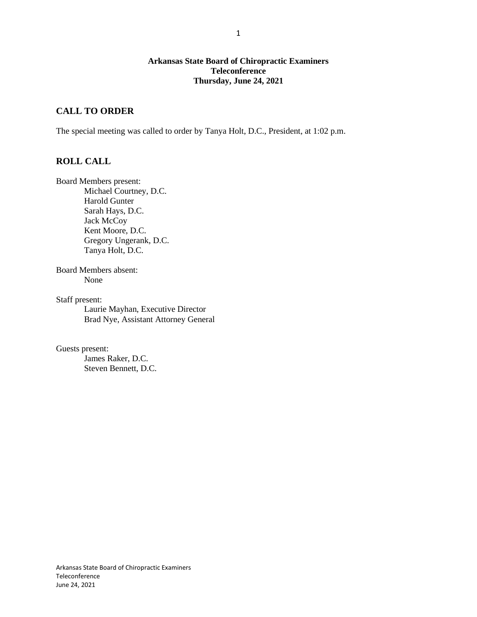### **Arkansas State Board of Chiropractic Examiners Teleconference Thursday, June 24, 2021**

## **CALL TO ORDER**

The special meeting was called to order by Tanya Holt, D.C., President, at 1:02 p.m.

## **ROLL CALL**

Board Members present: Michael Courtney, D.C. Harold Gunter Sarah Hays, D.C. Jack McCoy Kent Moore, D.C. Gregory Ungerank, D.C. Tanya Holt, D.C.

Board Members absent: None

Staff present: Laurie Mayhan, Executive Director Brad Nye, Assistant Attorney General

Guests present: James Raker, D.C. Steven Bennett, D.C.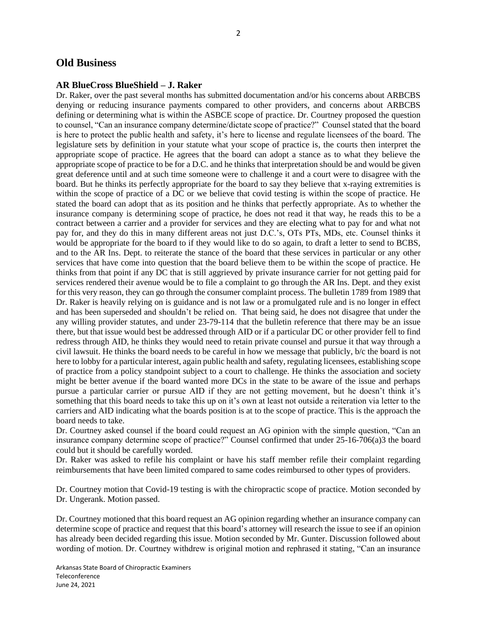## **Old Business**

#### **AR BlueCross BlueShield – J. Raker**

Dr. Raker, over the past several months has submitted documentation and/or his concerns about ARBCBS denying or reducing insurance payments compared to other providers, and concerns about ARBCBS defining or determining what is within the ASBCE scope of practice. Dr. Courtney proposed the question to counsel, "Can an insurance company determine/dictate scope of practice?" Counsel stated that the board is here to protect the public health and safety, it's here to license and regulate licensees of the board. The legislature sets by definition in your statute what your scope of practice is, the courts then interpret the appropriate scope of practice. He agrees that the board can adopt a stance as to what they believe the appropriate scope of practice to be for a D.C. and he thinks that interpretation should be and would be given great deference until and at such time someone were to challenge it and a court were to disagree with the board. But he thinks its perfectly appropriate for the board to say they believe that x-raying extremities is within the scope of practice of a DC or we believe that covid testing is within the scope of practice. He stated the board can adopt that as its position and he thinks that perfectly appropriate. As to whether the insurance company is determining scope of practice, he does not read it that way, he reads this to be a contract between a carrier and a provider for services and they are electing what to pay for and what not pay for, and they do this in many different areas not just D.C.'s, OTs PTs, MDs, etc. Counsel thinks it would be appropriate for the board to if they would like to do so again, to draft a letter to send to BCBS, and to the AR Ins. Dept. to reiterate the stance of the board that these services in particular or any other services that have come into question that the board believe them to be within the scope of practice. He thinks from that point if any DC that is still aggrieved by private insurance carrier for not getting paid for services rendered their avenue would be to file a complaint to go through the AR Ins. Dept. and they exist for this very reason, they can go through the consumer complaint process. The bulletin 1789 from 1989 that Dr. Raker is heavily relying on is guidance and is not law or a promulgated rule and is no longer in effect and has been superseded and shouldn't be relied on. That being said, he does not disagree that under the any willing provider statutes, and under 23-79-114 that the bulletin reference that there may be an issue there, but that issue would best be addressed through AID or if a particular DC or other provider fell to find redress through AID, he thinks they would need to retain private counsel and pursue it that way through a civil lawsuit. He thinks the board needs to be careful in how we message that publicly, b/c the board is not here to lobby for a particular interest, again public health and safety, regulating licensees, establishing scope of practice from a policy standpoint subject to a court to challenge. He thinks the association and society might be better avenue if the board wanted more DCs in the state to be aware of the issue and perhaps pursue a particular carrier or pursue AID if they are not getting movement, but he doesn't think it's something that this board needs to take this up on it's own at least not outside a reiteration via letter to the carriers and AID indicating what the boards position is at to the scope of practice. This is the approach the board needs to take.

Dr. Courtney asked counsel if the board could request an AG opinion with the simple question, "Can an insurance company determine scope of practice?" Counsel confirmed that under 25-16-706(a)3 the board could but it should be carefully worded.

Dr. Raker was asked to refile his complaint or have his staff member refile their complaint regarding reimbursements that have been limited compared to same codes reimbursed to other types of providers.

Dr. Courtney motion that Covid-19 testing is with the chiropractic scope of practice. Motion seconded by Dr. Ungerank. Motion passed.

Dr. Courtney motioned that this board request an AG opinion regarding whether an insurance company can determine scope of practice and request that this board's attorney will research the issue to see if an opinion has already been decided regarding this issue. Motion seconded by Mr. Gunter. Discussion followed about wording of motion. Dr. Courtney withdrew is original motion and rephrased it stating, "Can an insurance